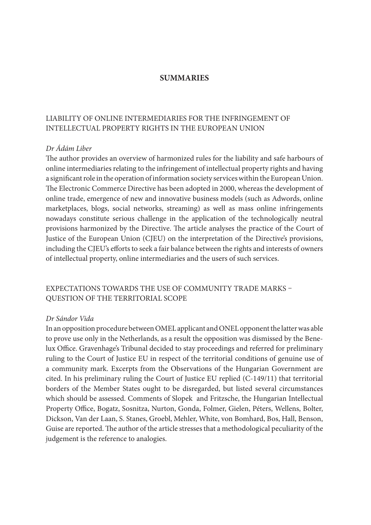#### **SUMMARIES**

## LIABILITY OF ONLINE INTERMEDIARIES FOR THE INFRINGEMENT OF INTELLECTUAL PROPERTY RIGHTS IN THE EUROPEAN UNION

#### Dr Ádám Liber

The author provides an overview of harmonized rules for the liability and safe harbours of online intermediaries relating to the infringement of intellectual property rights and having a significant role in the operation of information society services within the European Union. The Electronic Commerce Directive has been adopted in 2000, whereas the development of online trade, emergence of new and innovative business models (such as Adwords, online marketplaces, blogs, social networks, streaming) as well as mass online infringements nowadays constitute serious challenge in the application of the technologically neutral provisions harmonized by the Directive. The article analyses the practice of the Court of Justice of the European Union (CJEU) on the interpretation of the Directive's provisions, including the CJEU's efforts to seek a fair balance between the rights and interests of owners of intellectual property, online intermediaries and the users of such services.

# EXPECTATIONS TOWARDS THE USE OF COMMUNITY TRADE MARKS -QUESTION OF THE TERRITORIAL SCOPE

#### Dr Sándor Vida

In an opposition procedure between OMEL applicant and ONEL opponent the latter was able to prove use only in the Netherlands, as a result the opposition was dismissed by the Benelux Office. Gravenhage's Tribunal decided to stay proceedings and referred for preliminary ruling to the Court of Justice EU in respect of the territorial conditions of genuine use of a community mark. Excerpts from the Observations of the Hungarian Government are cited. In his preliminary ruling the Court of Justice EU replied (C-149/11) that territorial borders of the Member States ought to be disregarded, but listed several circumstances which should be assessed. Comments of Slopek and Fritzsche, the Hungarian Intellectual Property Office, Bogatz, Sosnitza, Nurton, Gonda, Folmer, Gielen, Péters, Wellens, Bolter, Dickson, Van der Laan, S. Stanes, Groebl, Mehler, White, von Bomhard, Bos, Hall, Benson, Guise are reported. The author of the article stresses that a methodological peculiarity of the judgement is the reference to analogies.